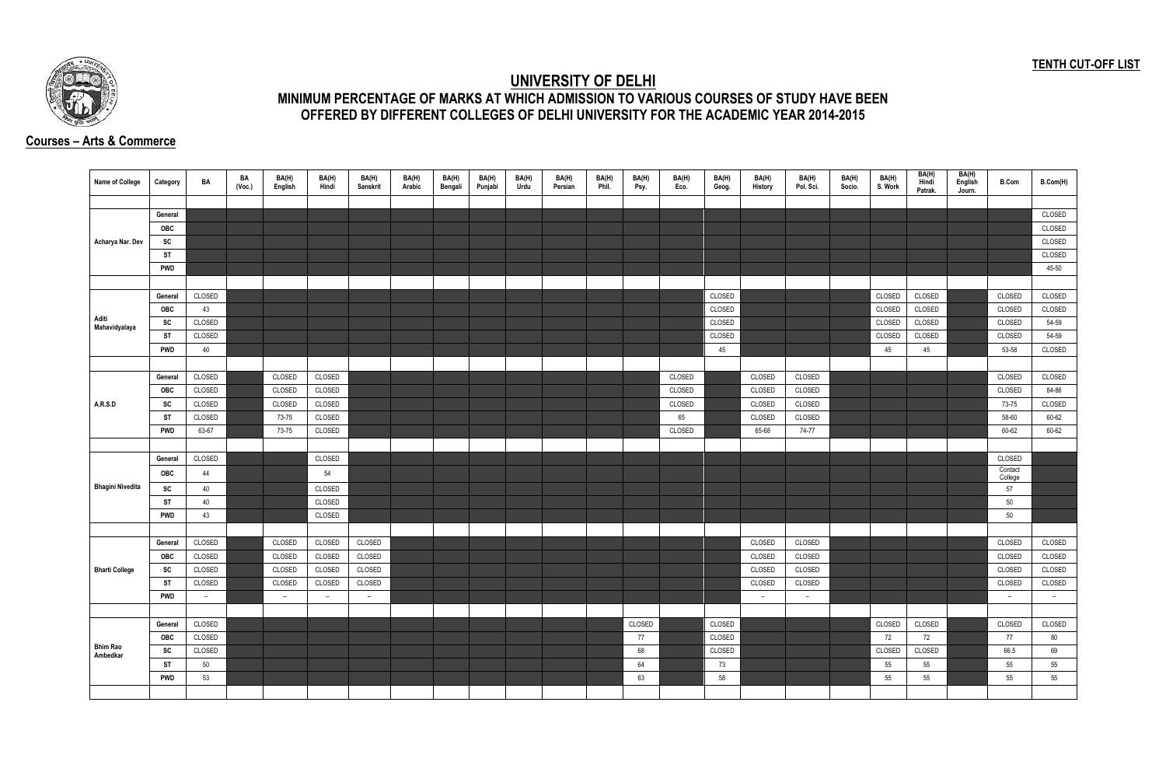## **TENTH CUT-OFF LIST**



## **UNIVERSITY OF DELHI MINIMUM PERCENTAGE OF MARKS AT WHICH ADMISSION TO VARIOUS COURSES OF STUDY HAVE BEEN OFFERED BY DIFFERENT COLLEGES OF DELHI UNIVERSITY FOR THE ACADEMIC YEAR 2014-2015**

## **Courses – Arts & Commerce**

| Name of College             | Category   | BA     | BA<br>(Voc.) | BA(H)<br>English | BA(H)<br>Hindi | BA(H)<br>Sanskrit | BA(H)<br>Arabic | BA(H)<br>Bengali | BA(H)<br>Punjabi | BA(H)<br>Urdu | BA(H)<br>Persian | BA(H)<br>Phil. | BA(H)<br>Psy. | BA(H)<br>Eco. | BA(H)<br>Geog. | BA(H)<br>History | BA(H)<br>Pol. Sci. | BA(H)<br>Socio. | BA(H)<br>S. Work | BA(H)<br>Hindi<br>Patrak. | BA(H)<br>English<br>Journ. | <b>B.Com</b>       | B.Com(H) |
|-----------------------------|------------|--------|--------------|------------------|----------------|-------------------|-----------------|------------------|------------------|---------------|------------------|----------------|---------------|---------------|----------------|------------------|--------------------|-----------------|------------------|---------------------------|----------------------------|--------------------|----------|
|                             |            |        |              |                  |                |                   |                 |                  |                  |               |                  |                |               |               |                |                  |                    |                 |                  |                           |                            |                    |          |
|                             | General    |        |              |                  |                |                   |                 |                  |                  |               |                  |                |               |               |                |                  |                    |                 |                  |                           |                            |                    | CLOSED   |
|                             | OBC        |        |              |                  |                |                   |                 |                  |                  |               |                  |                |               |               |                |                  |                    |                 |                  |                           |                            |                    | CLOSED   |
| Acharya Nar. Dev            | SC         |        |              |                  |                |                   |                 |                  |                  |               |                  |                |               |               |                |                  |                    |                 |                  |                           |                            |                    | CLOSED   |
|                             | <b>ST</b>  |        |              |                  |                |                   |                 |                  |                  |               |                  |                |               |               |                |                  |                    |                 |                  |                           |                            |                    | CLOSED   |
|                             | <b>PWD</b> |        |              |                  |                |                   |                 |                  |                  |               |                  |                |               |               |                |                  |                    |                 |                  |                           |                            |                    | 45-50    |
|                             |            |        |              |                  |                |                   |                 |                  |                  |               |                  |                |               |               |                |                  |                    |                 |                  |                           |                            |                    |          |
|                             | General    | CLOSED |              |                  |                |                   |                 |                  |                  |               |                  |                |               |               | CLOSED         |                  |                    |                 | CLOSED           | CLOSED                    |                            | CLOSED             | CLOSED   |
|                             | <b>OBC</b> | 43     |              |                  |                |                   |                 |                  |                  |               |                  |                |               |               | CLOSED         |                  |                    |                 | CLOSED           | CLOSED                    |                            | CLOSED             | CLOSED   |
| Aditi<br>Mahavidyalaya      | SC         | CLOSED |              |                  |                |                   |                 |                  |                  |               |                  |                |               |               | CLOSED         |                  |                    |                 | CLOSED           | CLOSED                    |                            | CLOSED             | 54-59    |
|                             | ST         | CLOSED |              |                  |                |                   |                 |                  |                  |               |                  |                |               |               | CLOSED         |                  |                    |                 | CLOSED           | CLOSED                    |                            | CLOSED             | 54-59    |
|                             | <b>PWD</b> | 40     |              |                  |                |                   |                 |                  |                  |               |                  |                |               |               | 45             |                  |                    |                 | 45               | 45                        |                            | 53-58              | CLOSED   |
|                             |            |        |              |                  |                |                   |                 |                  |                  |               |                  |                |               |               |                |                  |                    |                 |                  |                           |                            |                    |          |
|                             | General    | CLOSED |              | CLOSED           | CLOSED         |                   |                 |                  |                  |               |                  |                |               | CLOSED        |                | CLOSED           | CLOSED             |                 |                  |                           |                            | CLOSED             | CLOSED   |
|                             | OBC        | CLOSED |              | CLOSED           | CLOSED         |                   |                 |                  |                  |               |                  |                |               | CLOSED        |                | CLOSED           | CLOSED             |                 |                  |                           |                            | CLOSED             | 84-86    |
| A.R.S.D                     | SC         | CLOSED |              | CLOSED           | CLOSED         |                   |                 |                  |                  |               |                  |                |               | CLOSED        |                | CLOSED           | CLOSED             |                 |                  |                           |                            | 73-75              | CLOSED   |
|                             | ST         | CLOSED |              | 73-75            | CLOSED         |                   |                 |                  |                  |               |                  |                |               | 65            |                | CLOSED           | CLOSED             |                 |                  |                           |                            | 58-60              | 60-62    |
|                             | <b>PWD</b> | 63-67  |              | 73-75            | CLOSED         |                   |                 |                  |                  |               |                  |                |               | CLOSED        |                | 65-68            | 74-77              |                 |                  |                           |                            | 60-62              | 60-62    |
|                             |            |        |              |                  |                |                   |                 |                  |                  |               |                  |                |               |               |                |                  |                    |                 |                  |                           |                            |                    |          |
|                             | General    | CLOSED |              |                  | CLOSED         |                   |                 |                  |                  |               |                  |                |               |               |                |                  |                    |                 |                  |                           |                            | CLOSED             |          |
|                             | OBC        | 44     |              |                  | 54             |                   |                 |                  |                  |               |                  |                |               |               |                |                  |                    |                 |                  |                           |                            | Contact<br>College |          |
| <b>Bhagini Nivedita</b>     | SC         | 40     |              |                  | CLOSED         |                   |                 |                  |                  |               |                  |                |               |               |                |                  |                    |                 |                  |                           |                            | 57                 |          |
|                             | <b>ST</b>  | 40     |              |                  | CLOSED         |                   |                 |                  |                  |               |                  |                |               |               |                |                  |                    |                 |                  |                           |                            | $50\,$             |          |
|                             | <b>PWD</b> | 43     |              |                  | CLOSED         |                   |                 |                  |                  |               |                  |                |               |               |                |                  |                    |                 |                  |                           |                            | 50                 |          |
|                             |            |        |              |                  |                |                   |                 |                  |                  |               |                  |                |               |               |                |                  |                    |                 |                  |                           |                            |                    |          |
|                             | General    | CLOSED |              | CLOSED           | CLOSED         | CLOSED            |                 |                  |                  |               |                  |                |               |               |                | <b>CLOSED</b>    | CLOSED             |                 |                  |                           |                            | CLOSED             | CLOSED   |
|                             | <b>OBC</b> | CLOSED |              | CLOSED           | CLOSED         | CLOSED            |                 |                  |                  |               |                  |                |               |               |                | CLOSED           | CLOSED             |                 |                  |                           |                            | CLOSED             | CLOSED   |
| <b>Bharti College</b>       | <b>SC</b>  | CLOSED |              | CLOSED           | CLOSED         | CLOSED            |                 |                  |                  |               |                  |                |               |               |                | CLOSED           | CLOSED             |                 |                  |                           |                            | CLOSED             | CLOSED   |
|                             | <b>ST</b>  | CLOSED |              | CLOSED           | CLOSED         | CLOSED            |                 |                  |                  |               |                  |                |               |               |                | CLOSED           | CLOSED             |                 |                  |                           |                            | CLOSED             | CLOSED   |
|                             | <b>PWD</b> | $-$    |              | $-$              | $ \,$          | $ \,$             |                 |                  |                  |               |                  |                |               |               |                | $\sim$           | $ \,$              |                 |                  |                           |                            | $ \,$              | $-$      |
|                             |            |        |              |                  |                |                   |                 |                  |                  |               |                  |                |               |               |                |                  |                    |                 |                  |                           |                            |                    |          |
|                             | General    | CLOSED |              |                  |                |                   |                 |                  |                  |               |                  |                | CLOSED        |               | CLOSED         |                  |                    |                 | CLOSED           | CLOSED                    |                            | CLOSED             | CLOSED   |
|                             | OBC        | CLOSED |              |                  |                |                   |                 |                  |                  |               |                  |                | 77            |               | CLOSED         |                  |                    |                 | 72               | 72                        |                            | 77                 | 80       |
| <b>Bhim Rao</b><br>Ambedkar | SC         | CLOSED |              |                  |                |                   |                 |                  |                  |               |                  |                | 68            |               | CLOSED         |                  |                    |                 | CLOSED           | CLOSED                    |                            | 66.5               | 69       |
|                             | <b>ST</b>  | 50     |              |                  |                |                   |                 |                  |                  |               |                  |                | 64            |               | 73             |                  |                    |                 | 55               | 55                        |                            | 55                 | 55       |
|                             | PWD        | 53     |              |                  |                |                   |                 |                  |                  |               |                  |                | 63            |               | 58             |                  |                    |                 | 55               | 55                        |                            | 55                 | 55       |
|                             |            |        |              |                  |                |                   |                 |                  |                  |               |                  |                |               |               |                |                  |                    |                 |                  |                           |                            |                    |          |
|                             |            |        |              |                  |                |                   |                 |                  |                  |               |                  |                |               |               |                |                  |                    |                 |                  |                           |                            |                    |          |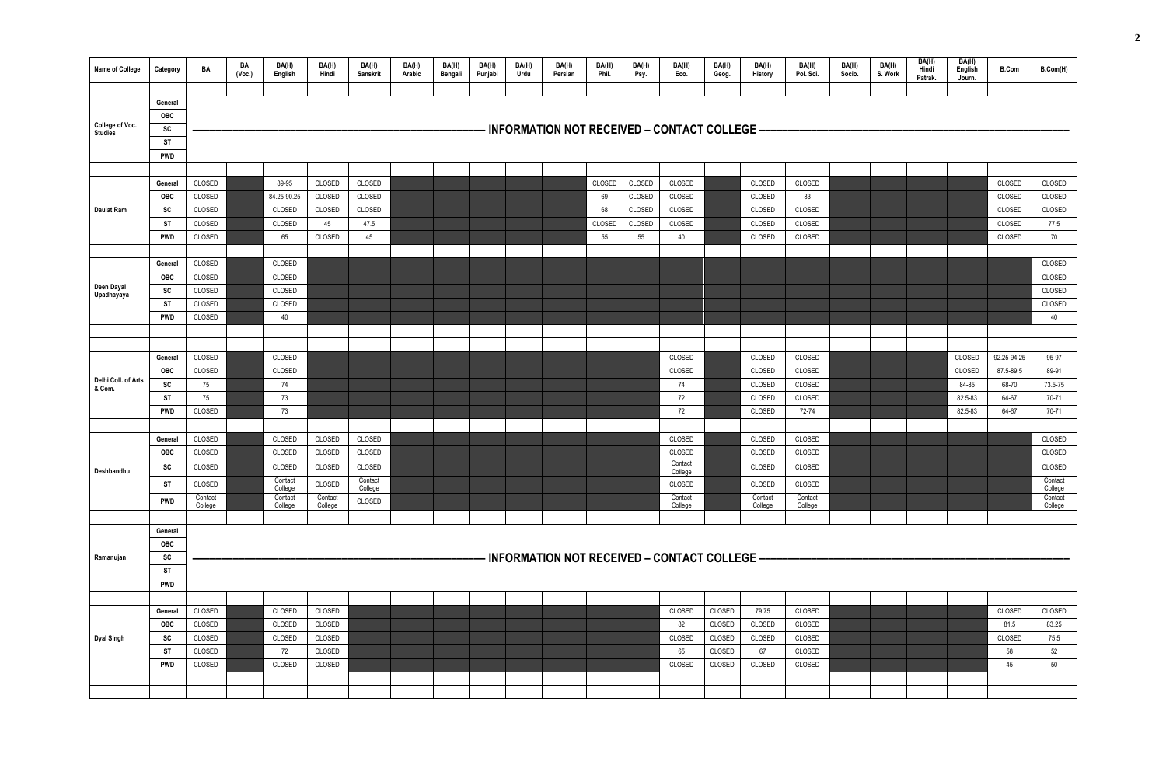| General<br>OBC<br>College of Voc.<br>· INFORMATION NOT RECEIVED – CONTACT COLLEGE –<br>SC<br><b>Studies</b><br><b>ST</b><br><b>PWD</b><br>89-95<br>CLOSED<br>CLOSED<br>CLOSED<br>General<br>84.25-90.25<br>CLOSED<br>CLOSED<br>OBC<br>CLOSED<br>CLOSED<br>CLOSED<br>CLOSED<br>SC<br>CLOSED<br>Daulat Ram<br>CLOSED<br>CLOSED<br>45<br>47.5<br>ST<br>65<br>CLOSED<br>45<br><b>PWD</b><br>CLOSED | CLOSED<br>69<br>68<br>CLOSED<br>55 | CLOSED<br>CLOSED<br>CLOSED<br>CLOSED<br>CLOSED<br>CLOSED<br>CLOSED<br>CLOSED<br>55<br>40 | CLOSED<br>CLOSED<br>CLOSED<br>CLOSED<br>CLOSED | CLOSED<br>83<br>CLOSED<br>CLOSED<br>CLOSED |  |         | CLOSED<br>CLOSED<br>CLOSED | CLOSED<br>CLOSED   |
|------------------------------------------------------------------------------------------------------------------------------------------------------------------------------------------------------------------------------------------------------------------------------------------------------------------------------------------------------------------------------------------------|------------------------------------|------------------------------------------------------------------------------------------|------------------------------------------------|--------------------------------------------|--|---------|----------------------------|--------------------|
|                                                                                                                                                                                                                                                                                                                                                                                                |                                    |                                                                                          |                                                |                                            |  |         |                            |                    |
|                                                                                                                                                                                                                                                                                                                                                                                                |                                    |                                                                                          |                                                |                                            |  |         |                            |                    |
|                                                                                                                                                                                                                                                                                                                                                                                                |                                    |                                                                                          |                                                |                                            |  |         |                            |                    |
|                                                                                                                                                                                                                                                                                                                                                                                                |                                    |                                                                                          |                                                |                                            |  |         |                            |                    |
|                                                                                                                                                                                                                                                                                                                                                                                                |                                    |                                                                                          |                                                |                                            |  |         |                            |                    |
|                                                                                                                                                                                                                                                                                                                                                                                                |                                    |                                                                                          |                                                |                                            |  |         |                            |                    |
|                                                                                                                                                                                                                                                                                                                                                                                                |                                    |                                                                                          |                                                |                                            |  |         |                            |                    |
|                                                                                                                                                                                                                                                                                                                                                                                                |                                    |                                                                                          |                                                |                                            |  |         |                            |                    |
|                                                                                                                                                                                                                                                                                                                                                                                                |                                    |                                                                                          |                                                |                                            |  |         |                            | CLOSED             |
|                                                                                                                                                                                                                                                                                                                                                                                                |                                    |                                                                                          |                                                |                                            |  |         | CLOSED                     | 77.5               |
|                                                                                                                                                                                                                                                                                                                                                                                                |                                    |                                                                                          |                                                |                                            |  |         | CLOSED                     | 70                 |
|                                                                                                                                                                                                                                                                                                                                                                                                |                                    |                                                                                          |                                                |                                            |  |         |                            |                    |
| CLOSED<br>CLOSED<br>General                                                                                                                                                                                                                                                                                                                                                                    |                                    |                                                                                          |                                                |                                            |  |         |                            | CLOSED             |
| CLOSED<br>OBC<br>CLOSED                                                                                                                                                                                                                                                                                                                                                                        |                                    |                                                                                          |                                                |                                            |  |         |                            | CLOSED             |
| Deen Dayal<br>SC<br>CLOSED<br>CLOSED<br>Upadhayaya                                                                                                                                                                                                                                                                                                                                             |                                    |                                                                                          |                                                |                                            |  |         |                            | CLOSED             |
| ST<br>CLOSED<br>CLOSED                                                                                                                                                                                                                                                                                                                                                                         |                                    |                                                                                          |                                                |                                            |  |         |                            | CLOSED             |
| CLOSED<br>40<br>PWD                                                                                                                                                                                                                                                                                                                                                                            |                                    |                                                                                          |                                                |                                            |  |         |                            | 40                 |
|                                                                                                                                                                                                                                                                                                                                                                                                |                                    |                                                                                          |                                                |                                            |  |         |                            |                    |
|                                                                                                                                                                                                                                                                                                                                                                                                |                                    |                                                                                          |                                                |                                            |  |         |                            |                    |
| CLOSED<br>CLOSED<br>General                                                                                                                                                                                                                                                                                                                                                                    |                                    | CLOSED                                                                                   | CLOSED                                         | CLOSED                                     |  | CLOSED  | 92.25-94.25                | 95-97              |
| CLOSED<br>CLOSED<br><b>OBC</b><br>Delhi Coll. of Arts                                                                                                                                                                                                                                                                                                                                          |                                    | CLOSED                                                                                   | CLOSED                                         | CLOSED                                     |  | CLOSED  | 87.5-89.5                  | 89-91              |
| SC<br>75<br>74<br>& Com.                                                                                                                                                                                                                                                                                                                                                                       |                                    | 74                                                                                       | CLOSED                                         | CLOSED                                     |  | 84-85   | 68-70                      | 73.5-75            |
| 75<br>73<br>ST                                                                                                                                                                                                                                                                                                                                                                                 |                                    | 72                                                                                       | CLOSED                                         | CLOSED                                     |  | 82.5-83 | 64-67                      | 70-71              |
| CLOSED<br>73<br>PWD                                                                                                                                                                                                                                                                                                                                                                            |                                    | 72                                                                                       | <b>CLOSED</b>                                  | 72-74                                      |  | 82.5-83 | 64-67                      | 70-71              |
| CLOSED<br>CLOSED<br>CLOSED<br>CLOSED<br>General                                                                                                                                                                                                                                                                                                                                                |                                    | CLOSED                                                                                   | <b>CLOSED</b>                                  | CLOSED                                     |  |         |                            | CLOSED             |
| CLOSED<br>CLOSED<br>CLOSED<br>CLOSED<br><b>OBC</b>                                                                                                                                                                                                                                                                                                                                             |                                    | CLOSED                                                                                   | CLOSED                                         | CLOSED                                     |  |         |                            | CLOSED             |
| CLOSED<br>CLOSED<br>CLOSED<br>CLOSED                                                                                                                                                                                                                                                                                                                                                           |                                    | Contact                                                                                  | CLOSED                                         | CLOSED                                     |  |         |                            | CLOSED             |
| SC<br>Deshbandhu<br>Contact<br>Contact                                                                                                                                                                                                                                                                                                                                                         |                                    | College                                                                                  |                                                |                                            |  |         |                            | Contact            |
| CLOSED<br><b>ST</b><br>CLOSED<br>College<br>College                                                                                                                                                                                                                                                                                                                                            |                                    | CLOSED                                                                                   | CLOSED                                         | CLOSED                                     |  |         |                            | College            |
| Contact<br>Contact<br>Contact<br>CLOSED<br><b>PWD</b><br>College<br>College<br>College                                                                                                                                                                                                                                                                                                         |                                    | Contact<br>College                                                                       | Contact<br>College                             | Contact<br>College                         |  |         |                            | Contact<br>College |
|                                                                                                                                                                                                                                                                                                                                                                                                |                                    |                                                                                          |                                                |                                            |  |         |                            |                    |
| General                                                                                                                                                                                                                                                                                                                                                                                        |                                    |                                                                                          |                                                |                                            |  |         |                            |                    |
| OBC                                                                                                                                                                                                                                                                                                                                                                                            |                                    |                                                                                          |                                                |                                            |  |         |                            |                    |
| - INFORMATION NOT RECEIVED – CONTACT COLLEGE –<br>SC<br>Ramanujan                                                                                                                                                                                                                                                                                                                              |                                    |                                                                                          |                                                |                                            |  |         |                            |                    |
| <b>ST</b>                                                                                                                                                                                                                                                                                                                                                                                      |                                    |                                                                                          |                                                |                                            |  |         |                            |                    |
| <b>PWD</b>                                                                                                                                                                                                                                                                                                                                                                                     |                                    |                                                                                          |                                                |                                            |  |         |                            |                    |
|                                                                                                                                                                                                                                                                                                                                                                                                |                                    |                                                                                          |                                                |                                            |  |         |                            |                    |
| CLOSED<br>CLOSED<br>CLOSED<br>General                                                                                                                                                                                                                                                                                                                                                          |                                    | CLOSED                                                                                   | CLOSED<br>79.75                                | CLOSED                                     |  |         | CLOSED                     | CLOSED             |
| OBC<br>CLOSED<br>CLOSED<br>CLOSED                                                                                                                                                                                                                                                                                                                                                              |                                    | 82                                                                                       | CLOSED<br>CLOSED                               | CLOSED                                     |  |         | 81.5                       | 83.25              |
| CLOSED<br>CLOSED<br>SC<br>CLOSED<br><b>Dyal Singh</b>                                                                                                                                                                                                                                                                                                                                          |                                    | CLOSED                                                                                   | CLOSED<br>CLOSED                               | CLOSED                                     |  |         | CLOSED                     | 75.5               |
| <b>ST</b><br>CLOSED<br>72<br>CLOSED                                                                                                                                                                                                                                                                                                                                                            |                                    | 65                                                                                       | 67<br>CLOSED                                   | CLOSED                                     |  |         | 58                         | 52                 |
| CLOSED<br>CLOSED<br>CLOSED<br><b>PWD</b>                                                                                                                                                                                                                                                                                                                                                       |                                    | CLOSED                                                                                   | CLOSED<br>CLOSED                               | CLOSED                                     |  |         | 45                         | 50                 |
|                                                                                                                                                                                                                                                                                                                                                                                                |                                    |                                                                                          |                                                |                                            |  |         |                            |                    |
|                                                                                                                                                                                                                                                                                                                                                                                                |                                    |                                                                                          |                                                |                                            |  |         |                            |                    |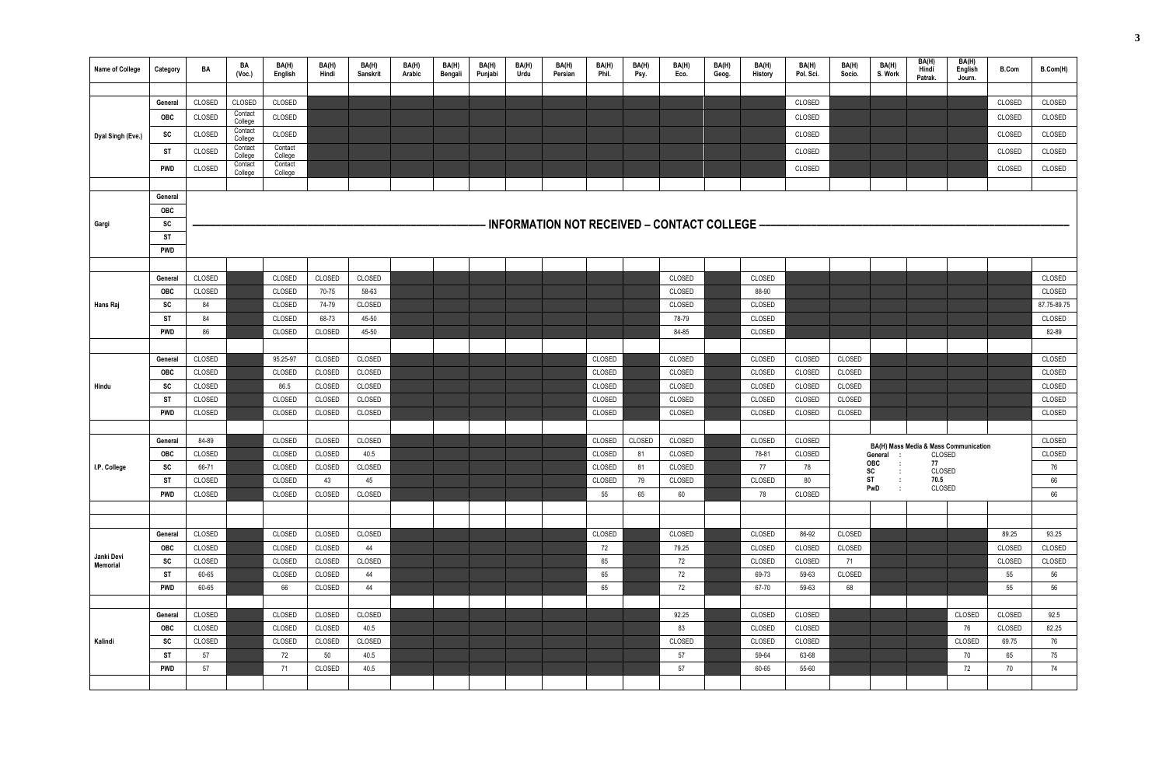| Name of College        | Category              | BA               | BA<br>(Vec.)       | BA(H)<br>English   | BA(H)<br>Hindi   | BA(H)<br>Sanskrit | BA(H)<br>Arabic | BA(H)<br>Bengali | BA(H)<br>Punjabi | BA(H)<br>Urdu | BA(H)<br>Persian | BA(H)<br>Phil.   | BA(H)<br>Psy. | BA(H)<br>Eco.                                  | BA(H)<br>Geog. | BA(H)<br>History | BA(H)<br>Pol. Sci. | BA(H)<br>Socio. | BA(H)<br>S. Work | BA(H)<br>Hindi<br>Patrak. | BA(H)<br>English<br>Journ.            | <b>B.Com</b>     | B.Com(H)      |
|------------------------|-----------------------|------------------|--------------------|--------------------|------------------|-------------------|-----------------|------------------|------------------|---------------|------------------|------------------|---------------|------------------------------------------------|----------------|------------------|--------------------|-----------------|------------------|---------------------------|---------------------------------------|------------------|---------------|
|                        |                       |                  |                    |                    |                  |                   |                 |                  |                  |               |                  |                  |               |                                                |                |                  |                    |                 |                  |                           |                                       |                  |               |
|                        | General               | CLOSED           | CLOSED<br>Contact  | CLOSED             |                  |                   |                 |                  |                  |               |                  |                  |               |                                                |                |                  | CLOSED             |                 |                  |                           |                                       | CLOSED           | CLOSED        |
|                        | <b>OBC</b>            | CLOSED           | College            | CLOSED             |                  |                   |                 |                  |                  |               |                  |                  |               |                                                |                |                  | CLOSED             |                 |                  |                           |                                       | CLOSED           | CLOSED        |
| Dyal Singh (Eve.)      | SC                    | CLOSED           | Contact<br>College | CLOSED             |                  |                   |                 |                  |                  |               |                  |                  |               |                                                |                |                  | CLOSED             |                 |                  |                           |                                       | CLOSED           | CLOSED        |
|                        | ST                    | CLOSED           | Contact<br>College | Contact<br>College |                  |                   |                 |                  |                  |               |                  |                  |               |                                                |                |                  | CLOSED             |                 |                  |                           |                                       | CLOSED           | CLOSED        |
|                        | <b>PWD</b>            | CLOSED           | Contact<br>College | Contact<br>College |                  |                   |                 |                  |                  |               |                  |                  |               |                                                |                |                  | CLOSED             |                 |                  |                           |                                       | CLOSED           | CLOSED        |
|                        |                       |                  |                    |                    |                  |                   |                 |                  |                  |               |                  |                  |               |                                                |                |                  |                    |                 |                  |                           |                                       |                  |               |
|                        | General               |                  |                    |                    |                  |                   |                 |                  |                  |               |                  |                  |               |                                                |                |                  |                    |                 |                  |                           |                                       |                  |               |
|                        | OBC                   |                  |                    |                    |                  |                   |                 |                  |                  |               |                  |                  |               |                                                |                |                  |                    |                 |                  |                           |                                       |                  |               |
| Gargi                  | SC                    |                  |                    |                    |                  |                   |                 |                  |                  |               |                  |                  |               | - INFORMATION NOT RECEIVED – CONTACT COLLEGE – |                |                  |                    |                 |                  |                           |                                       |                  |               |
|                        | <b>ST</b>             |                  |                    |                    |                  |                   |                 |                  |                  |               |                  |                  |               |                                                |                |                  |                    |                 |                  |                           |                                       |                  |               |
|                        | PWD                   |                  |                    |                    |                  |                   |                 |                  |                  |               |                  |                  |               |                                                |                |                  |                    |                 |                  |                           |                                       |                  |               |
|                        | General               | CLOSED           |                    | CLOSED             | CLOSED           | CLOSED            |                 |                  |                  |               |                  |                  |               | CLOSED                                         |                | CLOSED           |                    |                 |                  |                           |                                       |                  | CLOSED        |
|                        | <b>OBC</b>            | CLOSED           |                    | CLOSED             | 70-75            | 58-63             |                 |                  |                  |               |                  |                  |               | CLOSED                                         |                | 88-90            |                    |                 |                  |                           |                                       |                  | CLOSED        |
| Hans Raj               | sc                    | 84               |                    | CLOSED             | 74-79            | CLOSED            |                 |                  |                  |               |                  |                  |               | CLOSED                                         |                | CLOSED           |                    |                 |                  |                           |                                       |                  | 87.75-89.75   |
|                        | ST                    | 84               |                    | CLOSED             | 68-73            | 45-50             |                 |                  |                  |               |                  |                  |               | 78-79                                          |                | CLOSED           |                    |                 |                  |                           |                                       |                  | CLOSED        |
|                        | <b>PWD</b>            | 86               |                    | CLOSED             | CLOSED           | 45-50             |                 |                  |                  |               |                  |                  |               | 84-85                                          |                | CLOSED           |                    |                 |                  |                           |                                       |                  | 82-89         |
|                        |                       |                  |                    |                    |                  |                   |                 |                  |                  |               |                  |                  |               |                                                |                |                  |                    |                 |                  |                           |                                       |                  |               |
|                        | General               | CLOSED           |                    | 95.25-97           | CLOSED           | CLOSED            |                 |                  |                  |               |                  | CLOSED           |               | CLOSED                                         |                | CLOSED           | CLOSED             | CLOSED          |                  |                           |                                       |                  | CLOSED        |
|                        | <b>OBC</b>            | CLOSED           |                    | CLOSED             | CLOSED           | CLOSED            |                 |                  |                  |               |                  | CLOSED           |               | CLOSED                                         |                | CLOSED           | CLOSED             | CLOSED          |                  |                           |                                       |                  | CLOSED        |
| Hindu                  | sc                    | CLOSED           |                    | 86.5               | CLOSED           | CLOSED            |                 |                  |                  |               |                  | CLOSED           |               | CLOSED                                         |                | CLOSED           | CLOSED             | CLOSED          |                  |                           |                                       |                  | CLOSED        |
|                        | ST                    | CLOSED           |                    | CLOSED             | CLOSED           | CLOSED            |                 |                  |                  |               |                  | CLOSED           |               | CLOSED                                         |                | CLOSED           | CLOSED             | CLOSED          |                  |                           |                                       |                  | CLOSED        |
|                        | PWD                   | CLOSED           |                    | CLOSED             | CLOSED           | CLOSED            |                 |                  |                  |               |                  | CLOSED           |               | CLOSED                                         |                | CLOSED           | CLOSED             | CLOSED          |                  |                           |                                       |                  | CLOSED        |
|                        |                       |                  |                    |                    |                  |                   |                 |                  |                  |               |                  |                  |               |                                                |                |                  |                    |                 |                  |                           |                                       |                  |               |
|                        | General               | 84-89            |                    | CLOSED             | CLOSED           | CLOSED            |                 |                  |                  |               |                  | CLOSED           | CLOSED<br>81  | CLOSED                                         |                | CLOSED<br>78-81  | CLOSED             |                 |                  |                           | BA(H) Mass Media & Mass Communication |                  | CLOSED        |
| I.P. College           | OBC<br>SC             | CLOSED<br>66-71  |                    | CLOSED<br>CLOSED   | CLOSED<br>CLOSED | 40.5<br>CLOSED    |                 |                  |                  |               |                  | CLOSED<br>CLOSED | 81            | CLOSED<br>CLOSED                               |                | 77               | CLOSED<br>78       |                 | General :<br>OBC | CLOSED<br>77              |                                       |                  | CLOSED<br>76  |
|                        | <b>ST</b>             | CLOSED           |                    | CLOSED             | 43               | 45                |                 |                  |                  |               |                  | CLOSED           | 79            | CLOSED                                         |                | CLOSED           | 80                 |                 | SC<br><b>ST</b>  | CLOSED<br>70.5            |                                       |                  | 66            |
|                        | PWD                   | CLOSED           |                    | CLOSED             | CLOSED           | CLOSED            |                 |                  |                  |               |                  | 55               | 65            | 60                                             |                | 78               | CLOSED             |                 | PwD              | CLOSED                    |                                       |                  | 66            |
|                        |                       |                  |                    |                    |                  |                   |                 |                  |                  |               |                  |                  |               |                                                |                |                  |                    |                 |                  |                           |                                       |                  |               |
|                        |                       |                  |                    |                    |                  |                   |                 |                  |                  |               |                  |                  |               |                                                |                |                  |                    |                 |                  |                           |                                       |                  |               |
|                        | General               | CLOSED           |                    | CLOSED             | CLOSED           | CLOSED            |                 |                  |                  |               |                  | CLOSED           |               | CLOSED                                         |                | CLOSED           | 86-92              | CLOSED          |                  |                           |                                       | 89.25            | 93.25         |
|                        | OBC                   | CLOSED           |                    | CLOSED             | CLOSED           | 44                |                 |                  |                  |               |                  | 72               |               | 79.25                                          |                | CLOSED           | CLOSED             | CLOSED          |                  |                           |                                       | CLOSED           | CLOSED        |
| Janki Devi<br>Memorial | SC                    | CLOSED           |                    | CLOSED             | CLOSED           | CLOSED            |                 |                  |                  |               |                  | 65               |               | 72                                             |                | CLOSED           | CLOSED             | 71              |                  |                           |                                       | CLOSED           | CLOSED        |
|                        | <b>ST</b>             | 60-65            |                    | CLOSED             | CLOSED           | 44                |                 |                  |                  |               |                  | 65               |               | 72                                             |                | 69-73            | 59-63              | CLOSED          |                  |                           |                                       | 55               | 56            |
|                        | PWD                   | 60-65            |                    | 66                 | CLOSED           | 44                |                 |                  |                  |               |                  | 65               |               | 72                                             |                | 67-70            | 59-63              | 68              |                  |                           |                                       | 55               | 56            |
|                        |                       |                  |                    |                    |                  |                   |                 |                  |                  |               |                  |                  |               |                                                |                |                  |                    |                 |                  |                           |                                       |                  |               |
|                        | General<br><b>OBC</b> | CLOSED<br>CLOSED |                    | CLOSED<br>CLOSED   | CLOSED<br>CLOSED | CLOSED<br>40.5    |                 |                  |                  |               |                  |                  |               | 92.25<br>83                                    |                | CLOSED<br>CLOSED | CLOSED<br>CLOSED   |                 |                  |                           | CLOSED<br>76                          | CLOSED<br>CLOSED | 92.5<br>82.25 |
| Kalindi                | SC                    | CLOSED           |                    | CLOSED             | CLOSED           | CLOSED            |                 |                  |                  |               |                  |                  |               | CLOSED                                         |                | CLOSED           | CLOSED             |                 |                  |                           | CLOSED                                | 69.75            | 76            |
|                        | <b>ST</b>             | 57               |                    | 72                 | 50               | 40.5              |                 |                  |                  |               |                  |                  |               | 57                                             |                | 59-64            | 63-68              |                 |                  |                           | 70                                    | 65               | 75            |
|                        | <b>PWD</b>            | 57               |                    | 71                 | CLOSED           | 40.5              |                 |                  |                  |               |                  |                  |               | 57                                             |                | 60-65            | 55-60              |                 |                  |                           | 72                                    | 70               | 74            |
|                        |                       |                  |                    |                    |                  |                   |                 |                  |                  |               |                  |                  |               |                                                |                |                  |                    |                 |                  |                           |                                       |                  |               |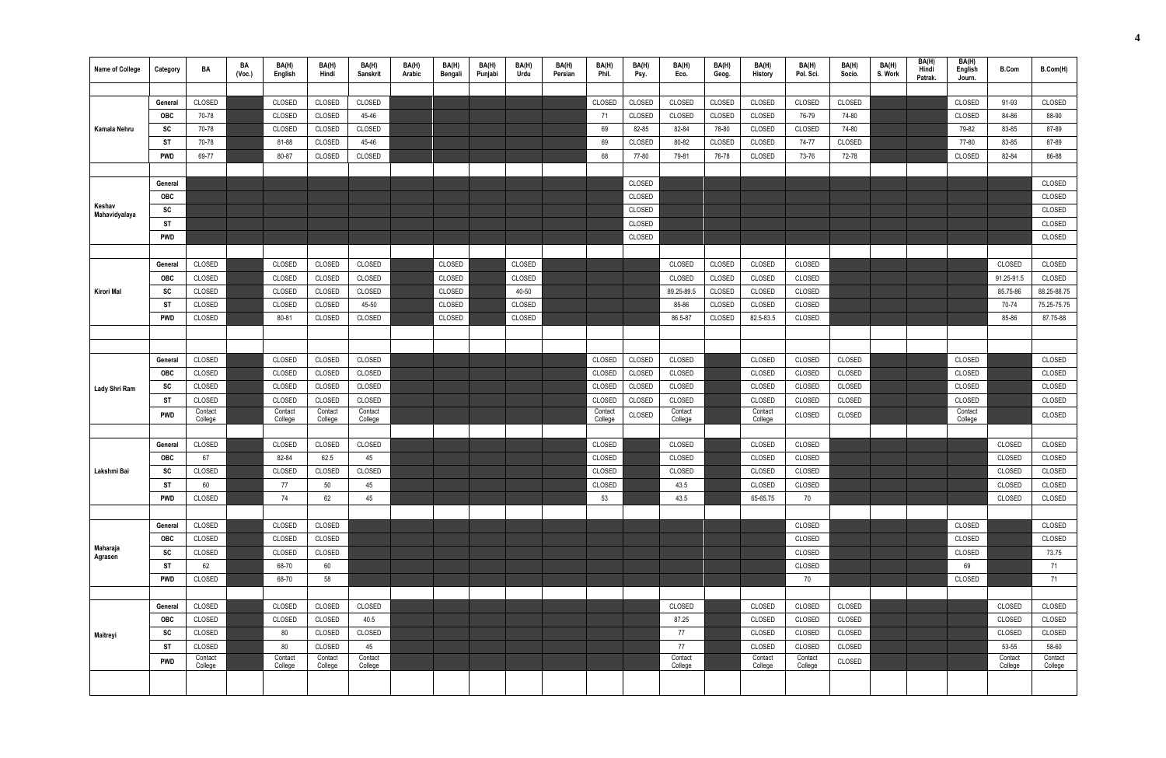| <b>Name of College</b>  | Category   | BA                 | BA<br>(Vec.) | BA(H)<br>English   | BA(H)<br>Hindi     | BA(H)<br>Sanskrit  | BA(H)<br>Arabic | BA(H)<br>Bengali | BA(H)<br>Punjabi | BA(H)<br>Urdu | BA(H)<br>Persian | BA(H)<br>Phil.     | BA(H)<br>Psy. | BA(H)<br>Eco.      | BA(H)<br>Geog. | BA(H)<br>History   | BA(H)<br>Pol. Sci. | BA(H)<br>Socio. | BA(H)<br>S. Work | BA(H)<br>Hindi<br>Patrak. | BA(H)<br>English<br>Journ. | <b>B.Com</b>       | B.Com(H)           |
|-------------------------|------------|--------------------|--------------|--------------------|--------------------|--------------------|-----------------|------------------|------------------|---------------|------------------|--------------------|---------------|--------------------|----------------|--------------------|--------------------|-----------------|------------------|---------------------------|----------------------------|--------------------|--------------------|
|                         |            |                    |              |                    |                    |                    |                 |                  |                  |               |                  |                    |               |                    |                |                    |                    |                 |                  |                           |                            |                    |                    |
|                         | General    | CLOSED             |              | CLOSED             | CLOSED             | CLOSED             |                 |                  |                  |               |                  | CLOSED             | CLOSED        | CLOSED             | CLOSED         | CLOSED             | CLOSED             | CLOSED          |                  |                           | CLOSED                     | 91-93              | CLOSED             |
|                         | <b>OBC</b> | 70-78              |              | <b>CLOSED</b>      | CLOSED             | 45-46              |                 |                  |                  |               |                  | 71                 | CLOSED        | CLOSED             | CLOSED         | CLOSED             | 76-79              | 74-80           |                  |                           | CLOSED                     | 84-86              | 88-90              |
| Kamala Nehru            | <b>SC</b>  | 70-78              |              | CLOSED             | CLOSED             | CLOSED             |                 |                  |                  |               |                  | 69                 | 82-85         | 82-84              | 78-80          | CLOSED             | CLOSED             | 74-80           |                  |                           | 79-82                      | 83-85              | 87-89              |
|                         | ST         | 70-78              |              | 81-88              | CLOSED             | 45-46              |                 |                  |                  |               |                  | 69                 | CLOSED        | 80-82              | CLOSED         | CLOSED             | 74-77              | CLOSED          |                  |                           | 77-80                      | 83-85              | 87-89              |
|                         | <b>PWD</b> | 69-77              |              | 80-87              | CLOSED             | CLOSED             |                 |                  |                  |               |                  | 68                 | 77-80         | 79-81              | 76-78          | CLOSED             | 73-76              | 72-78           |                  |                           | CLOSED                     | 82-84              | 86-88              |
|                         |            |                    |              |                    |                    |                    |                 |                  |                  |               |                  |                    |               |                    |                |                    |                    |                 |                  |                           |                            |                    |                    |
|                         | General    |                    |              |                    |                    |                    |                 |                  |                  |               |                  |                    | CLOSED        |                    |                |                    |                    |                 |                  |                           |                            |                    | CLOSED             |
|                         | OBC        |                    |              |                    |                    |                    |                 |                  |                  |               |                  |                    | CLOSED        |                    |                |                    |                    |                 |                  |                           |                            |                    | CLOSED             |
| Keshav<br>Mahavidyalaya | SC         |                    |              |                    |                    |                    |                 |                  |                  |               |                  |                    | CLOSED        |                    |                |                    |                    |                 |                  |                           |                            |                    | CLOSED             |
|                         | <b>ST</b>  |                    |              |                    |                    |                    |                 |                  |                  |               |                  |                    | CLOSED        |                    |                |                    |                    |                 |                  |                           |                            |                    | CLOSED             |
|                         | <b>PWD</b> |                    |              |                    |                    |                    |                 |                  |                  |               |                  |                    | CLOSED        |                    |                |                    |                    |                 |                  |                           |                            |                    | CLOSED             |
|                         |            |                    |              |                    |                    |                    |                 |                  |                  |               |                  |                    |               |                    |                |                    |                    |                 |                  |                           |                            |                    |                    |
|                         | General    | CLOSED             |              | CLOSED             | CLOSED             | CLOSED             |                 | CLOSED           |                  | CLOSED        |                  |                    |               | CLOSED             | CLOSED         | CLOSED             | CLOSED             |                 |                  |                           |                            | CLOSED             | CLOSED             |
|                         | OBC        | CLOSED             |              | CLOSED             | CLOSED             | CLOSED             |                 | CLOSED           |                  | CLOSED        |                  |                    |               | CLOSED             | CLOSED         | CLOSED             | CLOSED             |                 |                  |                           |                            | 91.25-91.5         | CLOSED             |
| <b>Kirori Mal</b>       | <b>SC</b>  | CLOSED             |              | CLOSED             | CLOSED             | CLOSED             |                 | CLOSED           |                  | 40-50         |                  |                    |               | 89.25-89.5         | CLOSED         | CLOSED             | CLOSED             |                 |                  |                           |                            | 85.75-86           | 88.25-88.75        |
|                         | ST         | CLOSED             |              | CLOSED             | CLOSED             | 45-50              |                 | CLOSED           |                  | CLOSED        |                  |                    |               | 85-86              | CLOSED         | CLOSED             | CLOSED             |                 |                  |                           |                            | 70-74              | 75.25-75.75        |
|                         | <b>PWD</b> | CLOSED             |              | 80-81              | CLOSED             | CLOSED             |                 | CLOSED           |                  | CLOSED        |                  |                    |               | 86.5-87            | CLOSED         | 82.5-83.5          | CLOSED             |                 |                  |                           |                            | 85-86              | 87.75-88           |
|                         |            |                    |              |                    |                    |                    |                 |                  |                  |               |                  |                    |               |                    |                |                    |                    |                 |                  |                           |                            |                    |                    |
|                         |            |                    |              |                    |                    |                    |                 |                  |                  |               |                  |                    |               |                    |                |                    |                    |                 |                  |                           |                            |                    |                    |
|                         | General    | CLOSED             |              | CLOSED             | CLOSED             | CLOSED             |                 |                  |                  |               |                  | CLOSED             | CLOSED        | CLOSED             |                | CLOSED             | CLOSED             | CLOSED          |                  |                           | CLOSED                     |                    | CLOSED             |
|                         | <b>OBC</b> | CLOSED             |              | CLOSED             | CLOSED             | CLOSED             |                 |                  |                  |               |                  | CLOSED             | CLOSED        | CLOSED             |                | CLOSED             | CLOSED             | CLOSED          |                  |                           | CLOSED                     |                    | CLOSED             |
| Lady Shri Ram           | <b>SC</b>  | CLOSED             |              | CLOSED             | CLOSED             | CLOSED             |                 |                  |                  |               |                  | CLOSED             | CLOSED        | CLOSED             |                | CLOSED             | CLOSED             | CLOSED          |                  |                           | CLOSED                     |                    | CLOSED             |
|                         | ST         | CLOSED             |              | CLOSED             | CLOSED             | CLOSED             |                 |                  |                  |               |                  | CLOSED             | CLOSED        | CLOSED             |                | CLOSED             | CLOSED             | CLOSED          |                  |                           | CLOSED                     |                    | CLOSED             |
|                         | <b>PWD</b> | Contact<br>College |              | Contact<br>College | Contact<br>College | Contact<br>College |                 |                  |                  |               |                  | Contact<br>College | CLOSED        | Contact<br>College |                | Contact<br>College | CLOSED             | CLOSED          |                  |                           | Contact<br>College         |                    | CLOSED             |
|                         |            |                    |              |                    |                    |                    |                 |                  |                  |               |                  |                    |               |                    |                |                    |                    |                 |                  |                           |                            |                    |                    |
|                         | General    | CLOSED             |              | CLOSED             | CLOSED             | CLOSED             |                 |                  |                  |               |                  | CLOSED             |               | CLOSED             |                | CLOSED             | CLOSED             |                 |                  |                           |                            | CLOSED             | CLOSED             |
|                         | OBC        | 67                 |              | 82-84              | 62.5               | 45                 |                 |                  |                  |               |                  | CLOSED             |               | CLOSED             |                | CLOSED             | CLOSED             |                 |                  |                           |                            | CLOSED             | CLOSED             |
| Lakshmi Bai             | SC         | CLOSED             |              | CLOSED             | CLOSED             | CLOSED             |                 |                  |                  |               |                  | CLOSED             |               | CLOSED             |                | CLOSED             | CLOSED             |                 |                  |                           |                            | CLOSED             | CLOSED             |
|                         | <b>ST</b>  | 60                 |              | 77                 | 50                 | 45                 |                 |                  |                  |               |                  | CLOSED             |               | 43.5               |                | CLOSED             | CLOSED             |                 |                  |                           |                            | CLOSED             | CLOSED             |
|                         | <b>PWD</b> | CLOSED             |              | 74                 | 62                 | 45                 |                 |                  |                  |               |                  | 53                 |               | 43.5               |                | 65-65.75           | 70                 |                 |                  |                           |                            | CLOSED             | CLOSED             |
|                         |            |                    |              |                    |                    |                    |                 |                  |                  |               |                  |                    |               |                    |                |                    |                    |                 |                  |                           |                            |                    |                    |
|                         | General    | CLOSED             |              | CLOSED             | CLOSED             |                    |                 |                  |                  |               |                  |                    |               |                    |                |                    | CLOSED             |                 |                  |                           | CLOSED                     |                    | CLOSED             |
| Maharaja                | OBC        | CLOSED             |              | CLOSED             | CLOSED             |                    |                 |                  |                  |               |                  |                    |               |                    |                |                    | CLOSED             |                 |                  |                           | CLOSED                     |                    | CLOSED             |
| Agrasen                 | ${\sf sc}$ | CLOSED             |              | CLOSED             | CLOSED             |                    |                 |                  |                  |               |                  |                    |               |                    |                |                    | CLOSED             |                 |                  |                           | CLOSED                     |                    | 73.75              |
|                         | <b>ST</b>  | 62                 |              | 68-70              | 60                 |                    |                 |                  |                  |               |                  |                    |               |                    |                |                    | CLOSED             |                 |                  |                           | 69                         |                    | 71                 |
|                         | <b>PWD</b> | CLOSED             |              | 68-70              | 58                 |                    |                 |                  |                  |               |                  |                    |               |                    |                |                    | 70                 |                 |                  |                           | CLOSED                     |                    | 71                 |
|                         |            |                    |              |                    |                    |                    |                 |                  |                  |               |                  |                    |               |                    |                |                    |                    |                 |                  |                           |                            |                    |                    |
|                         | General    | CLOSED             |              | CLOSED             | CLOSED             | CLOSED             |                 |                  |                  |               |                  |                    |               | CLOSED             |                | CLOSED             | CLOSED             | CLOSED          |                  |                           |                            | CLOSED             | CLOSED             |
|                         | OBC        | CLOSED             |              | CLOSED             | CLOSED             | 40.5               |                 |                  |                  |               |                  |                    |               | 87.25              |                | CLOSED             | CLOSED             | CLOSED          |                  |                           |                            | CLOSED             | CLOSED             |
| Maitreyi                | <b>SC</b>  | CLOSED             |              | 80                 | CLOSED             | CLOSED             |                 |                  |                  |               |                  |                    |               | 77                 |                | CLOSED             | CLOSED             | CLOSED          |                  |                           |                            | CLOSED             | CLOSED             |
|                         | ST         | CLOSED             |              | 80                 | CLOSED             | 45                 |                 |                  |                  |               |                  |                    |               | 77                 |                | CLOSED             | CLOSED             | CLOSED          |                  |                           |                            | 53-55              | 58-60              |
|                         | <b>PWD</b> | Contact<br>College |              | Contact<br>College | Contact<br>College | Contact<br>College |                 |                  |                  |               |                  |                    |               | Contact<br>College |                | Contact<br>College | Contact<br>College | CLOSED          |                  |                           |                            | Contact<br>College | Contact<br>College |
|                         |            |                    |              |                    |                    |                    |                 |                  |                  |               |                  |                    |               |                    |                |                    |                    |                 |                  |                           |                            |                    |                    |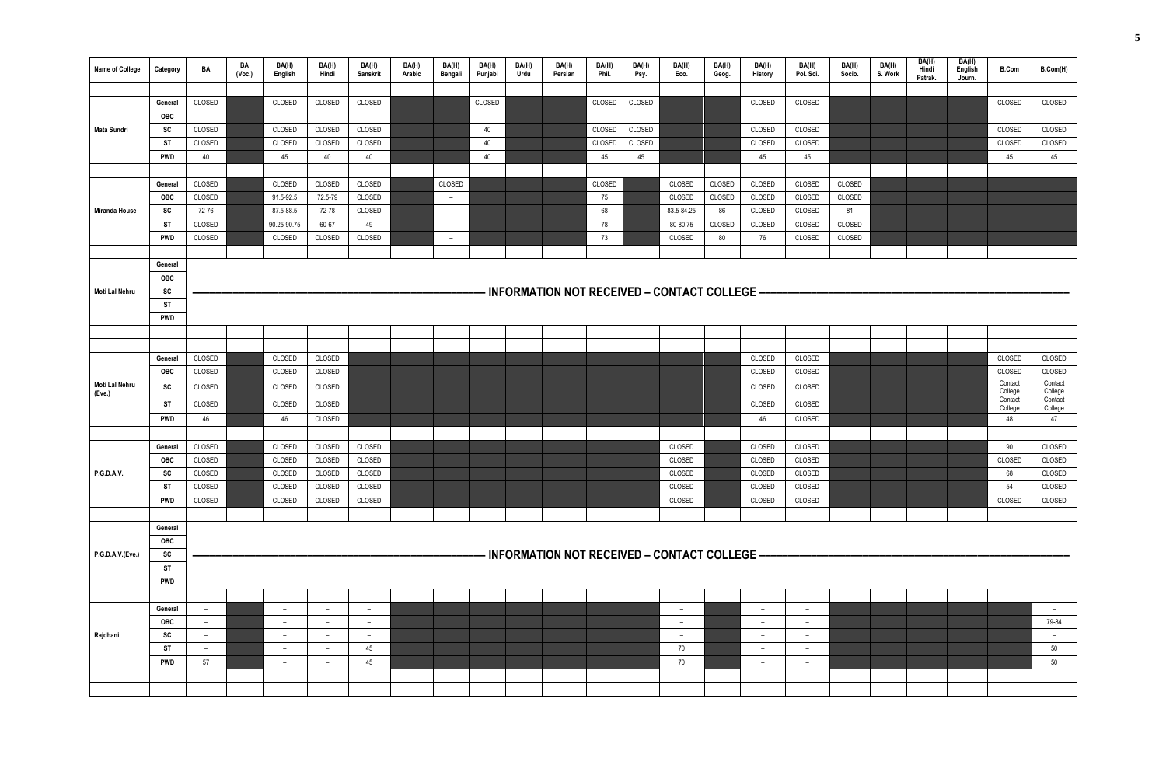| Name of College  | Category   | BA     | BA<br>(Vec.) | BA(H)<br>English         | BA(H)<br>Hindi | BA(H)<br>Sanskrit | BA(H)<br>Arabic | BA(H)<br>Bengali | BA(H)<br>Punjabi | BA(H)<br>Urdu | BA(H)<br>Persian | BA(H)<br>Phil. | BA(H)<br>Psy.            | BA(H)<br>Eco.                                  | BA(H)<br>Geog. | BA(H)<br>History | BA(H)<br>Pol. Sci. | BA(H)<br>Socio. | BA(H)<br>S. Work | BA(H)<br>Hindi<br>Patrak. | BA(H)<br>English<br>Journ. | <b>B.Com</b>       | B.Com(H)           |
|------------------|------------|--------|--------------|--------------------------|----------------|-------------------|-----------------|------------------|------------------|---------------|------------------|----------------|--------------------------|------------------------------------------------|----------------|------------------|--------------------|-----------------|------------------|---------------------------|----------------------------|--------------------|--------------------|
|                  |            |        |              |                          |                |                   |                 |                  |                  |               |                  |                |                          |                                                |                |                  |                    |                 |                  |                           |                            |                    |                    |
|                  | General    | CLOSED |              | CLOSED                   | CLOSED         | CLOSED            |                 |                  | CLOSED           |               |                  | CLOSED         | CLOSED                   |                                                |                | CLOSED           | CLOSED             |                 |                  |                           |                            | CLOSED             | CLOSED             |
|                  | OBC        | $ \,$  |              | $\overline{\phantom{0}}$ | $ \,$          | $ \,$             |                 |                  | $ \,$            |               |                  | $\sim$         | $\overline{\phantom{a}}$ |                                                |                | $-$              | $-$                |                 |                  |                           |                            | $-$                | $-$                |
| Mata Sundri      | SC         | CLOSED |              | CLOSED                   | CLOSED         | CLOSED            |                 |                  | 40               |               |                  | CLOSED         | CLOSED                   |                                                |                | CLOSED           | CLOSED             |                 |                  |                           |                            | CLOSED             | CLOSED             |
|                  | <b>ST</b>  | CLOSED |              | CLOSED                   | CLOSED         | CLOSED            |                 |                  | 40               |               |                  | CLOSED         | CLOSED                   |                                                |                | CLOSED           | CLOSED             |                 |                  |                           |                            | CLOSED             | CLOSED             |
|                  | <b>PWD</b> | 40     |              | 45                       | 40             | 40                |                 |                  | 40               |               |                  | 45             | 45                       |                                                |                | 45               | 45                 |                 |                  |                           |                            | 45                 | 45                 |
|                  | General    | CLOSED |              | CLOSED                   | CLOSED         | CLOSED            |                 | CLOSED           |                  |               |                  | CLOSED         |                          | CLOSED                                         | CLOSED         | CLOSED           | CLOSED             | CLOSED          |                  |                           |                            |                    |                    |
|                  | <b>OBC</b> | CLOSED |              | 91.5-92.5                | 72.5-79        | CLOSED            |                 | $\sim$           |                  |               |                  | 75             |                          | CLOSED                                         | CLOSED         | CLOSED           | CLOSED             | CLOSED          |                  |                           |                            |                    |                    |
| Miranda House    | SC         | 72-76  |              | 87.5-88.5                | 72-78          | CLOSED            |                 | $ \,$            |                  |               |                  | 68             |                          | 83.5-84.25                                     | 86             | CLOSED           | CLOSED             | 81              |                  |                           |                            |                    |                    |
|                  | <b>ST</b>  | CLOSED |              | 90.25-90.75              | 60-67          | 49                |                 | $ \,$            |                  |               |                  | 78             |                          | 80-80.75                                       | CLOSED         | CLOSED           | CLOSED             | CLOSED          |                  |                           |                            |                    |                    |
|                  | <b>PWD</b> | CLOSED |              | CLOSED                   | CLOSED         | CLOSED            |                 | $-$              |                  |               |                  | 73             |                          | CLOSED                                         | 80             | 76               | CLOSED             | CLOSED          |                  |                           |                            |                    |                    |
|                  |            |        |              |                          |                |                   |                 |                  |                  |               |                  |                |                          |                                                |                |                  |                    |                 |                  |                           |                            |                    |                    |
|                  | General    |        |              |                          |                |                   |                 |                  |                  |               |                  |                |                          |                                                |                |                  |                    |                 |                  |                           |                            |                    |                    |
|                  | OBC        |        |              |                          |                |                   |                 |                  |                  |               |                  |                |                          |                                                |                |                  |                    |                 |                  |                           |                            |                    |                    |
| Moti Lal Nehru   | SC         |        |              |                          |                |                   |                 |                  |                  |               |                  |                |                          | - INFORMATION NOT RECEIVED – CONTACT COLLEGE – |                |                  |                    |                 |                  |                           |                            |                    |                    |
|                  | <b>ST</b>  |        |              |                          |                |                   |                 |                  |                  |               |                  |                |                          |                                                |                |                  |                    |                 |                  |                           |                            |                    |                    |
|                  | <b>PWD</b> |        |              |                          |                |                   |                 |                  |                  |               |                  |                |                          |                                                |                |                  |                    |                 |                  |                           |                            |                    |                    |
|                  |            |        |              |                          |                |                   |                 |                  |                  |               |                  |                |                          |                                                |                |                  |                    |                 |                  |                           |                            |                    |                    |
|                  |            |        |              |                          |                |                   |                 |                  |                  |               |                  |                |                          |                                                |                |                  |                    |                 |                  |                           |                            |                    |                    |
| Moti Lal Nehru   | General    | CLOSED |              | CLOSED                   | CLOSED         |                   |                 |                  |                  |               |                  |                |                          |                                                |                | CLOSED           | CLOSED             |                 |                  |                           |                            | CLOSED             | CLOSED             |
|                  | OBC        | CLOSED |              | CLOSED                   | CLOSED         |                   |                 |                  |                  |               |                  |                |                          |                                                |                | CLOSED           | CLOSED             |                 |                  |                           |                            | CLOSED<br>Contact  | CLOSED<br>Contact  |
| (Eve.)           | SC         | CLOSED |              | CLOSED                   | CLOSED         |                   |                 |                  |                  |               |                  |                |                          |                                                |                | CLOSED           | CLOSED             |                 |                  |                           |                            | College            | College            |
|                  | ST         | CLOSED |              | CLOSED                   | CLOSED         |                   |                 |                  |                  |               |                  |                |                          |                                                |                | CLOSED           | CLOSED             |                 |                  |                           |                            | Contact<br>College | Contact<br>College |
|                  | PWD        | 46     |              | 46                       | CLOSED         |                   |                 |                  |                  |               |                  |                |                          |                                                |                | 46               | CLOSED             |                 |                  |                           |                            | 48                 | 47                 |
|                  |            |        |              |                          |                |                   |                 |                  |                  |               |                  |                |                          |                                                |                |                  |                    |                 |                  |                           |                            |                    |                    |
|                  | General    | CLOSED |              | CLOSED                   | CLOSED         | CLOSED            |                 |                  |                  |               |                  |                |                          | CLOSED                                         |                | <b>CLOSED</b>    | CLOSED             |                 |                  |                           |                            | 90                 | CLOSED             |
|                  | OBC        | CLOSED |              | CLOSED                   | CLOSED         | CLOSED            |                 |                  |                  |               |                  |                |                          | CLOSED                                         |                | CLOSED           | CLOSED             |                 |                  |                           |                            | CLOSED             | CLOSED             |
| P.G.D.A.V.       | SC         | CLOSED |              | CLOSED                   | CLOSED         | CLOSED            |                 |                  |                  |               |                  |                |                          | CLOSED                                         |                | CLOSED           | CLOSED             |                 |                  |                           |                            | 68                 | CLOSED             |
|                  | <b>ST</b>  | CLOSED |              | CLOSED                   | CLOSED         | CLOSED            |                 |                  |                  |               |                  |                |                          | CLOSED                                         |                | CLOSED           | CLOSED             |                 |                  |                           |                            | 54                 | CLOSED             |
|                  | <b>PWD</b> | CLOSED |              | CLOSED                   | CLOSED         | CLOSED            |                 |                  |                  |               |                  |                |                          | CLOSED                                         |                | CLOSED           | CLOSED             |                 |                  |                           |                            | CLOSED             | CLOSED             |
|                  | General    |        |              |                          |                |                   |                 |                  |                  |               |                  |                |                          |                                                |                |                  |                    |                 |                  |                           |                            |                    |                    |
|                  | OBC        |        |              |                          |                |                   |                 |                  |                  |               |                  |                |                          |                                                |                |                  |                    |                 |                  |                           |                            |                    |                    |
| P.G.D.A.V.(Eve.) | SC         |        |              |                          |                |                   |                 |                  |                  |               |                  |                |                          | - INFORMATION NOT RECEIVED – CONTACT COLLEGE – |                |                  |                    |                 |                  |                           |                            |                    |                    |
|                  | <b>ST</b>  |        |              |                          |                |                   |                 |                  |                  |               |                  |                |                          |                                                |                |                  |                    |                 |                  |                           |                            |                    |                    |
|                  | <b>PWD</b> |        |              |                          |                |                   |                 |                  |                  |               |                  |                |                          |                                                |                |                  |                    |                 |                  |                           |                            |                    |                    |
|                  |            |        |              |                          |                |                   |                 |                  |                  |               |                  |                |                          |                                                |                |                  |                    |                 |                  |                           |                            |                    |                    |
|                  | General    | $ \,$  |              | $\overline{\phantom{0}}$ | $-$            | $-$               |                 |                  |                  |               |                  |                |                          | $-$                                            |                | $-$              | $-$                |                 |                  |                           |                            |                    | $ \,$              |
|                  | OBC        | $-$    |              | $\overline{a}$           | $-$            | $ \,$             |                 |                  |                  |               |                  |                |                          | $ \,$                                          |                | $ \,$            | $ \,$              |                 |                  |                           |                            |                    | 79-84              |
| Rajdhani         | SC         | $ \,$  |              | $ \,$                    | $ \,$          | $ \,$             |                 |                  |                  |               |                  |                |                          | $-$                                            |                | $-$              | $\sim$             |                 |                  |                           |                            |                    | $ \,$              |
|                  | <b>ST</b>  | $ \,$  |              | $\overline{a}$           | $-$            | 45                |                 |                  |                  |               |                  |                |                          | 70                                             |                | $ \,$            | $ \,$              |                 |                  |                           |                            |                    | 50                 |
|                  | <b>PWD</b> | 57     |              | $ \,$                    | $ \,$          | 45                |                 |                  |                  |               |                  |                |                          | 70                                             |                | $ \,$            | $ \,$              |                 |                  |                           |                            |                    | 50                 |
|                  |            |        |              |                          |                |                   |                 |                  |                  |               |                  |                |                          |                                                |                |                  |                    |                 |                  |                           |                            |                    |                    |
|                  |            |        |              |                          |                |                   |                 |                  |                  |               |                  |                |                          |                                                |                |                  |                    |                 |                  |                           |                            |                    |                    |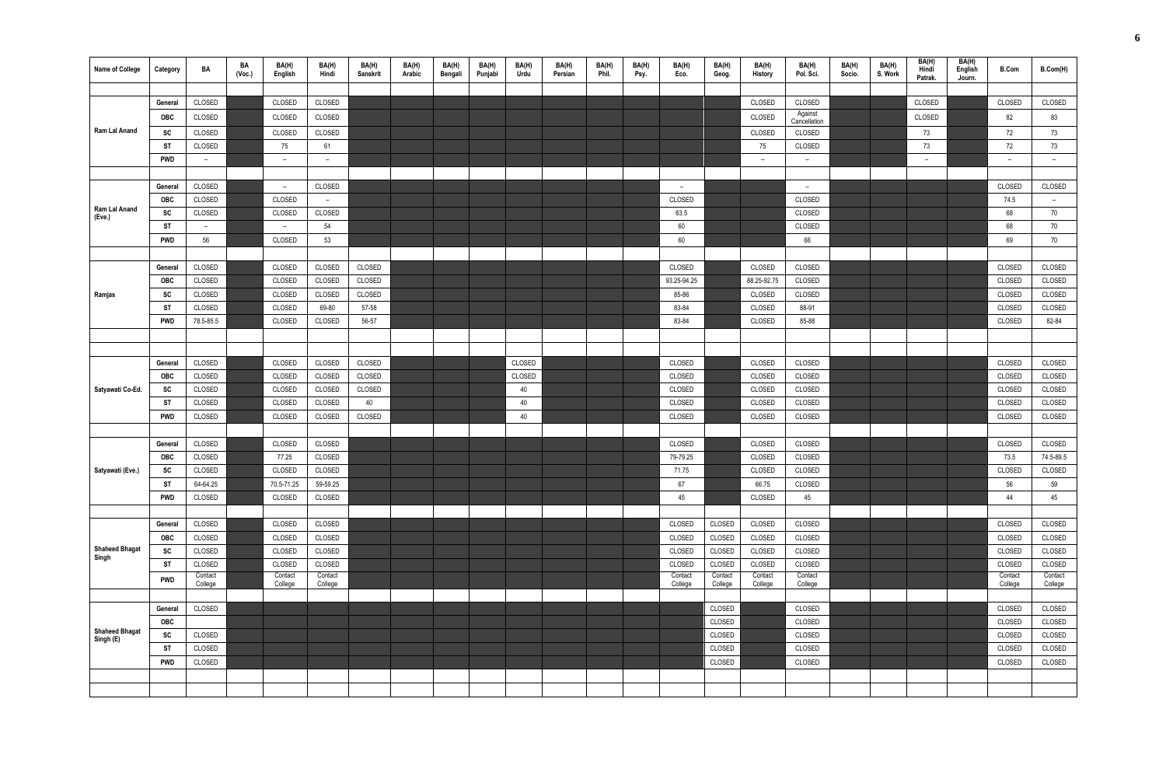| <b>Name of College</b>         | Category   | BA                       | BA<br>(Vec.) | BA(H)<br>English   | BA(H)<br>Hindi     | BA(H)<br>Sanskrit | BA(H)<br>Arabic | BA(H)<br>Bengali | BA(H)<br>Punjabi | BA(H)<br>Urdu | BA(H)<br>Persian | BA(H)<br>Phil. | BA(H)<br>Psy. | BA(H)<br>Eco.      | BA(H)<br>Geog.     | BA(H)<br>History         | BA(H)<br>Pol. Sci. | BA(H)<br>Socio. | BA(H)<br>S. Work | BA(H)<br>Hindi<br>Patrak. | BA(H)<br>English<br>Journ. | <b>B.Com</b>       | B.Com(H)           |
|--------------------------------|------------|--------------------------|--------------|--------------------|--------------------|-------------------|-----------------|------------------|------------------|---------------|------------------|----------------|---------------|--------------------|--------------------|--------------------------|--------------------|-----------------|------------------|---------------------------|----------------------------|--------------------|--------------------|
|                                |            |                          |              |                    |                    |                   |                 |                  |                  |               |                  |                |               |                    |                    |                          |                    |                 |                  |                           |                            |                    |                    |
|                                | General    | CLOSED                   |              | CLOSED             | CLOSED             |                   |                 |                  |                  |               |                  |                |               |                    |                    | CLOSED                   | CLOSED<br>Against  |                 |                  | CLOSED                    |                            | CLOSED             | CLOSED             |
|                                | <b>OBC</b> | CLOSED                   |              | CLOSED             | CLOSED             |                   |                 |                  |                  |               |                  |                |               |                    |                    | CLOSED                   | Cancellation       |                 |                  | CLOSED                    |                            | 82                 | 83                 |
| Ram Lal Anand                  | SC         | CLOSED                   |              | CLOSED             | CLOSED             |                   |                 |                  |                  |               |                  |                |               |                    |                    | CLOSED                   | CLOSED             |                 |                  | 73                        |                            | 72                 | 73                 |
|                                | ST         | CLOSED                   |              | 75                 | 61                 |                   |                 |                  |                  |               |                  |                |               |                    |                    | 75                       | CLOSED             |                 |                  | 73                        |                            | 72                 | 73                 |
|                                | <b>PWD</b> | $\sim$                   |              | $ \,$              | $\sim$             |                   |                 |                  |                  |               |                  |                |               |                    |                    | $\overline{\phantom{0}}$ | $\overline{a}$     |                 |                  | $\overline{\phantom{a}}$  |                            | $\sim$             | $ \,$              |
|                                | General    | CLOSED                   |              | $-$                | CLOSED             |                   |                 |                  |                  |               |                  |                |               | $\overline{a}$     |                    |                          | $\overline{a}$     |                 |                  |                           |                            | CLOSED             | CLOSED             |
|                                | <b>OBC</b> | CLOSED                   |              | CLOSED             | $\sim$             |                   |                 |                  |                  |               |                  |                |               | CLOSED             |                    |                          | CLOSED             |                 |                  |                           |                            | 74.5               | $-$                |
| Ram Lal Anand                  | sc         | CLOSED                   |              | CLOSED             | CLOSED             |                   |                 |                  |                  |               |                  |                |               | 63.5               |                    |                          | CLOSED             |                 |                  |                           |                            | 68                 | 70                 |
| (Eve.)                         | ST         | $\overline{\phantom{a}}$ |              | $\overline{a}$     | 54                 |                   |                 |                  |                  |               |                  |                |               | 60                 |                    |                          | CLOSED             |                 |                  |                           |                            | 68                 | 70                 |
|                                | <b>PWD</b> | 56                       |              | CLOSED             | 53                 |                   |                 |                  |                  |               |                  |                |               | 60                 |                    |                          | 66                 |                 |                  |                           |                            | 69                 | 70                 |
|                                |            |                          |              |                    |                    |                   |                 |                  |                  |               |                  |                |               |                    |                    |                          |                    |                 |                  |                           |                            |                    |                    |
|                                | General    | CLOSED                   |              | CLOSED             | CLOSED             | CLOSED            |                 |                  |                  |               |                  |                |               | CLOSED             |                    | CLOSED                   | CLOSED             |                 |                  |                           |                            | CLOSED             | CLOSED             |
|                                | <b>OBC</b> | CLOSED                   |              | CLOSED             | CLOSED             | CLOSED            |                 |                  |                  |               |                  |                |               | 93.25-94.25        |                    | 88.25-92.75              | CLOSED             |                 |                  |                           |                            | CLOSED             | CLOSED             |
| Ramjas                         | <b>SC</b>  | CLOSED                   |              | CLOSED             | CLOSED             | CLOSED            |                 |                  |                  |               |                  |                |               | 85-86              |                    | CLOSED                   | CLOSED             |                 |                  |                           |                            | CLOSED             | CLOSED             |
|                                | <b>ST</b>  | CLOSED                   |              | CLOSED             | 69-80              | 57-58             |                 |                  |                  |               |                  |                |               | 83-84              |                    | CLOSED                   | 88-91              |                 |                  |                           |                            | CLOSED             | CLOSED             |
|                                | <b>PWD</b> | 78.5-85.5                |              | CLOSED             | CLOSED             | 56-57             |                 |                  |                  |               |                  |                |               | 83-84              |                    | CLOSED                   | 85-88              |                 |                  |                           |                            | CLOSED             | 82-84              |
|                                |            |                          |              |                    |                    |                   |                 |                  |                  |               |                  |                |               |                    |                    |                          |                    |                 |                  |                           |                            |                    |                    |
|                                |            |                          |              |                    |                    |                   |                 |                  |                  |               |                  |                |               |                    |                    |                          |                    |                 |                  |                           |                            |                    |                    |
|                                | General    | CLOSED                   |              | CLOSED             | CLOSED             | CLOSED            |                 |                  |                  | CLOSED        |                  |                |               | CLOSED             |                    | CLOSED                   | CLOSED             |                 |                  |                           |                            | CLOSED             | CLOSED             |
|                                | <b>OBC</b> | CLOSED                   |              | CLOSED             | CLOSED             | CLOSED            |                 |                  |                  | CLOSED        |                  |                |               | CLOSED             |                    | CLOSED                   | CLOSED             |                 |                  |                           |                            | CLOSED             | CLOSED             |
| Satyawati Co-Ed.               | SC         | CLOSED                   |              | CLOSED             | CLOSED             | CLOSED            |                 |                  |                  | 40            |                  |                |               | CLOSED             |                    | CLOSED                   | CLOSED             |                 |                  |                           |                            | CLOSED             | CLOSED             |
|                                | <b>ST</b>  | CLOSED                   |              | CLOSED             | CLOSED             | 40                |                 |                  |                  | 40            |                  |                |               | CLOSED             |                    | CLOSED                   | CLOSED             |                 |                  |                           |                            | CLOSED             | CLOSED             |
|                                | <b>PWD</b> | CLOSED                   |              | CLOSED             | CLOSED             | CLOSED            |                 |                  |                  | 40            |                  |                |               | CLOSED             |                    | CLOSED                   | CLOSED             |                 |                  |                           |                            | CLOSED             | CLOSED             |
|                                | General    | CLOSED                   |              | CLOSED             | CLOSED             |                   |                 |                  |                  |               |                  |                |               | CLOSED             |                    | CLOSED                   | CLOSED             |                 |                  |                           |                            | CLOSED             | CLOSED             |
|                                | OBC        | CLOSED                   |              | 77.25              | CLOSED             |                   |                 |                  |                  |               |                  |                |               | 79-79.25           |                    | CLOSED                   | CLOSED             |                 |                  |                           |                            | 73.5               | 74.5-89.5          |
| Satyawati (Eve.)               | <b>SC</b>  | CLOSED                   |              | CLOSED             | CLOSED             |                   |                 |                  |                  |               |                  |                |               | 71.75              |                    | CLOSED                   | CLOSED             |                 |                  |                           |                            | CLOSED             | CLOSED             |
|                                | <b>ST</b>  | 64-64.25                 |              | 70.5-71.25         | 59-59.25           |                   |                 |                  |                  |               |                  |                |               | 67                 |                    | 66.75                    | CLOSED             |                 |                  |                           |                            | 56                 | 59                 |
|                                | <b>PWD</b> | CLOSED                   |              | CLOSED             | CLOSED             |                   |                 |                  |                  |               |                  |                |               | 45                 |                    | CLOSED                   | 45                 |                 |                  |                           |                            | 44                 | 45                 |
|                                |            |                          |              |                    |                    |                   |                 |                  |                  |               |                  |                |               |                    |                    |                          |                    |                 |                  |                           |                            |                    |                    |
|                                | General    | CLOSED                   |              | CLOSED             | CLOSED             |                   |                 |                  |                  |               |                  |                |               | CLOSED             | CLOSED             | CLOSED                   | CLOSED             |                 |                  |                           |                            | CLOSED             | CLOSED             |
|                                | OBC        | CLOSED                   |              | CLOSED             | CLOSED             |                   |                 |                  |                  |               |                  |                |               | CLOSED             | CLOSED             | CLOSED                   | CLOSED             |                 |                  |                           |                            | CLOSED             | CLOSED             |
| <b>Shaheed Bhagat</b><br>Singh | SC         | CLOSED                   |              | CLOSED             | CLOSED             |                   |                 |                  |                  |               |                  |                |               | CLOSED             | CLOSED             | CLOSED                   | CLOSED             |                 |                  |                           |                            | CLOSED             | CLOSED             |
|                                | <b>ST</b>  | CLOSED                   |              | CLOSED             | CLOSED             |                   |                 |                  |                  |               |                  |                |               | CLOSED             | CLOSED             | CLOSED                   | CLOSED             |                 |                  |                           |                            | CLOSED             | CLOSED             |
|                                | <b>PWD</b> | Contact<br>College       |              | Contact<br>College | Contact<br>College |                   |                 |                  |                  |               |                  |                |               | Contact<br>College | Contact<br>College | Contact<br>College       | Contact<br>College |                 |                  |                           |                            | Contact<br>College | Contact<br>College |
|                                |            |                          |              |                    |                    |                   |                 |                  |                  |               |                  |                |               |                    |                    |                          |                    |                 |                  |                           |                            |                    |                    |
|                                | General    | CLOSED                   |              |                    |                    |                   |                 |                  |                  |               |                  |                |               |                    | CLOSED             |                          | CLOSED             |                 |                  |                           |                            | CLOSED             | CLOSED             |
| <b>Shaheed Bhagat</b>          | <b>OBC</b> |                          |              |                    |                    |                   |                 |                  |                  |               |                  |                |               |                    | CLOSED             |                          | CLOSED             |                 |                  |                           |                            | CLOSED             | CLOSED             |
| Singh (E)                      | SC         | CLOSED                   |              |                    |                    |                   |                 |                  |                  |               |                  |                |               |                    | CLOSED             |                          | CLOSED             |                 |                  |                           |                            | CLOSED             | CLOSED             |
|                                | <b>ST</b>  | CLOSED                   |              |                    |                    |                   |                 |                  |                  |               |                  |                |               |                    | CLOSED             |                          | CLOSED             |                 |                  |                           |                            | CLOSED             | CLOSED             |
|                                | <b>PWD</b> | CLOSED                   |              |                    |                    |                   |                 |                  |                  |               |                  |                |               |                    | CLOSED             |                          | CLOSED             |                 |                  |                           |                            | CLOSED             | CLOSED             |
|                                |            |                          |              |                    |                    |                   |                 |                  |                  |               |                  |                |               |                    |                    |                          |                    |                 |                  |                           |                            |                    |                    |
|                                |            |                          |              |                    |                    |                   |                 |                  |                  |               |                  |                |               |                    |                    |                          |                    |                 |                  |                           |                            |                    |                    |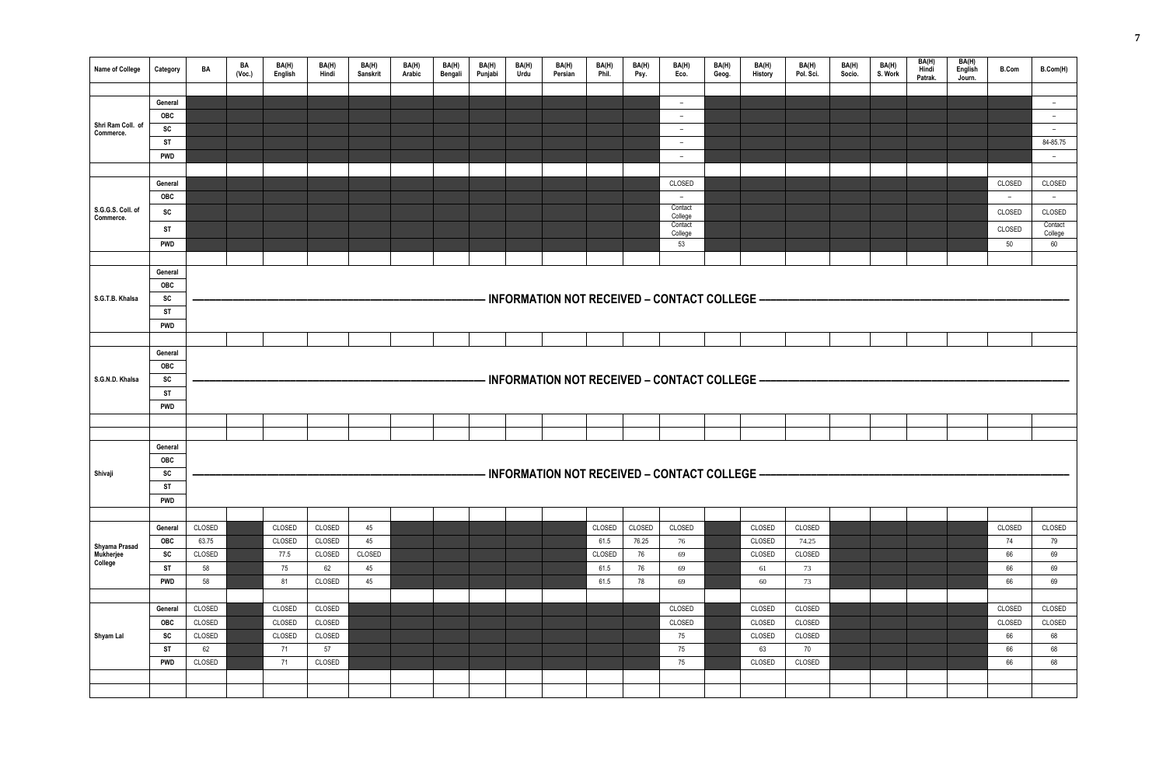| BA(H)<br><b>History</b> | BA(H)<br>Pol. Sci. | BA(H)<br>Socio. | BA(H)<br>S. Work | BA(H)<br>Hindi<br>Patrak. | BA(H)<br>English<br>Journ. | <b>B.Com</b>             | B.Com(H)                 |
|-------------------------|--------------------|-----------------|------------------|---------------------------|----------------------------|--------------------------|--------------------------|
|                         |                    |                 |                  |                           |                            |                          |                          |
|                         |                    |                 |                  |                           |                            |                          | $\overline{\phantom{0}}$ |
|                         |                    |                 |                  |                           |                            |                          | $\overline{\phantom{0}}$ |
|                         |                    |                 |                  |                           |                            |                          | $\qquad \qquad -$        |
|                         |                    |                 |                  |                           |                            |                          | 84-85.75                 |
|                         |                    |                 |                  |                           |                            |                          | $\qquad \qquad -$        |
|                         |                    |                 |                  |                           |                            |                          |                          |
|                         |                    |                 |                  |                           |                            | CLOSED                   | CLOSED                   |
|                         |                    |                 |                  |                           |                            | $\overline{\phantom{0}}$ | $\overline{\phantom{0}}$ |
|                         |                    |                 |                  |                           |                            | CLOSED                   | CLOSED                   |
|                         |                    |                 |                  |                           |                            | CLOSED                   | Contact<br>College       |
|                         |                    |                 |                  |                           |                            | $50\,$                   | 60                       |
|                         |                    |                 |                  |                           |                            |                          |                          |
| EGE.                    |                    |                 |                  |                           |                            |                          |                          |
|                         |                    |                 |                  |                           |                            |                          |                          |
| EGE                     |                    |                 |                  |                           |                            |                          |                          |
|                         |                    |                 |                  |                           |                            |                          |                          |
| EGE                     |                    |                 |                  |                           |                            |                          |                          |
| CLOSED                  | CLOSED             |                 |                  |                           |                            | CLOSED                   | CLOSED                   |
| CLOSED                  | 74.25              |                 |                  |                           |                            | 74                       | 79                       |
| CLOSED                  | CLOSED             |                 |                  |                           |                            | 66                       | 69                       |
| 61                      | 73                 |                 |                  |                           |                            | 66                       | 69                       |
| $60\,$                  | $73\,$             |                 |                  |                           |                            | 66                       | 69                       |
|                         |                    |                 |                  |                           |                            |                          |                          |
| CLOSED                  | CLOSED             |                 |                  |                           |                            | CLOSED                   | CLOSED                   |
| CLOSED                  | CLOSED             |                 |                  |                           |                            | CLOSED                   | CLOSED                   |
| CLOSED                  | CLOSED             |                 |                  |                           |                            | 66                       | 68                       |
| 63                      | $70\,$             |                 |                  |                           |                            | 66                       | 68                       |
| CLOSED                  | CLOSED             |                 |                  |                           |                            | 66                       | 68                       |
|                         |                    |                 |                  |                           |                            |                          |                          |
|                         |                    |                 |                  |                           |                            |                          |                          |

| <b>Name of College</b>                | Category                | BA              | BA<br>(Voc.) | BA(H)<br>English | BA(H)<br>Hindi   | BA(H)<br>Sanskrit | BA(H)<br>Arabic | BA(H)<br>Bengali | BA(H)<br>Punjabi | BA(H)<br>Urdu | BA(H)<br>Persian | BA(H)<br>Phil. | BA(H)<br>Psy. | BA(H)<br>Eco.                                        | BA(H)<br>Geog. | BA(H)<br>History | BA(H)<br>Pol. Sci. | BA(H)<br>Socio. | BA(H)<br>S. Work | BA(H)<br>Hindi<br>Patrak. | BA(H)<br>English<br>Journ. | <b>B.Com</b> | <b>B.Com(H</b>     |
|---------------------------------------|-------------------------|-----------------|--------------|------------------|------------------|-------------------|-----------------|------------------|------------------|---------------|------------------|----------------|---------------|------------------------------------------------------|----------------|------------------|--------------------|-----------------|------------------|---------------------------|----------------------------|--------------|--------------------|
|                                       |                         |                 |              |                  |                  |                   |                 |                  |                  |               |                  |                |               |                                                      |                |                  |                    |                 |                  |                           |                            |              |                    |
|                                       | General                 |                 |              |                  |                  |                   |                 |                  |                  |               |                  |                |               | $\overline{\phantom{m}}$                             |                |                  |                    |                 |                  |                           |                            |              | $\sim$             |
| Shri Ram Coll. of                     | <b>OBC</b>              |                 |              |                  |                  |                   |                 |                  |                  |               |                  |                |               | $\overline{\phantom{a}}$                             |                |                  |                    |                 |                  |                           |                            |              | $\sim$             |
| Commerce.                             | SC                      |                 |              |                  |                  |                   |                 |                  |                  |               |                  |                |               | $\overline{\phantom{a}}$                             |                |                  |                    |                 |                  |                           |                            |              | $\sim$             |
|                                       | <b>ST</b><br><b>PWD</b> |                 |              |                  |                  |                   |                 |                  |                  |               |                  |                |               | $\overline{\phantom{a}}$<br>$\overline{\phantom{a}}$ |                |                  |                    |                 |                  |                           |                            |              | 84-85.75<br>$\sim$ |
|                                       |                         |                 |              |                  |                  |                   |                 |                  |                  |               |                  |                |               |                                                      |                |                  |                    |                 |                  |                           |                            |              |                    |
|                                       | General                 |                 |              |                  |                  |                   |                 |                  |                  |               |                  |                |               | CLOSED                                               |                |                  |                    |                 |                  |                           |                            | CLOSED       | CLOSED             |
|                                       | OBC                     |                 |              |                  |                  |                   |                 |                  |                  |               |                  |                |               | $\sim$                                               |                |                  |                    |                 |                  |                           |                            | $\sim$       | $\sim$             |
| S.G.G.S. Coll. of                     | SC                      |                 |              |                  |                  |                   |                 |                  |                  |               |                  |                |               | Contact                                              |                |                  |                    |                 |                  |                           |                            | CLOSED       | CLOSED             |
| Commerce.                             |                         |                 |              |                  |                  |                   |                 |                  |                  |               |                  |                |               | College<br>Contact                                   |                |                  |                    |                 |                  |                           |                            |              | Contact            |
|                                       | <b>ST</b>               |                 |              |                  |                  |                   |                 |                  |                  |               |                  |                |               | College                                              |                |                  |                    |                 |                  |                           |                            | CLOSED       | College            |
|                                       | <b>PWD</b>              |                 |              |                  |                  |                   |                 |                  |                  |               |                  |                |               | 53                                                   |                |                  |                    |                 |                  |                           |                            | 50           | 60                 |
|                                       |                         |                 |              |                  |                  |                   |                 |                  |                  |               |                  |                |               |                                                      |                |                  |                    |                 |                  |                           |                            |              |                    |
|                                       | General<br>OBC          |                 |              |                  |                  |                   |                 |                  |                  |               |                  |                |               |                                                      |                |                  |                    |                 |                  |                           |                            |              |                    |
| S.G.T.B. Khalsa                       | SC                      |                 |              |                  |                  |                   |                 |                  |                  |               |                  |                |               | INFORMATION NOT RECEIVED - CONTACT COLLEGE -         |                |                  |                    |                 |                  |                           |                            |              |                    |
|                                       | <b>ST</b>               |                 |              |                  |                  |                   |                 |                  |                  |               |                  |                |               |                                                      |                |                  |                    |                 |                  |                           |                            |              |                    |
|                                       | <b>PWD</b>              |                 |              |                  |                  |                   |                 |                  |                  |               |                  |                |               |                                                      |                |                  |                    |                 |                  |                           |                            |              |                    |
|                                       |                         |                 |              |                  |                  |                   |                 |                  |                  |               |                  |                |               |                                                      |                |                  |                    |                 |                  |                           |                            |              |                    |
|                                       | General                 |                 |              |                  |                  |                   |                 |                  |                  |               |                  |                |               |                                                      |                |                  |                    |                 |                  |                           |                            |              |                    |
|                                       | OBC                     |                 |              |                  |                  |                   |                 |                  |                  |               |                  |                |               |                                                      |                |                  |                    |                 |                  |                           |                            |              |                    |
| S.G.N.D. Khalsa                       | SC                      |                 |              |                  |                  |                   |                 |                  |                  |               |                  |                |               | INFORMATION NOT RECEIVED - CONTACT COLLEGE -         |                |                  |                    |                 |                  |                           |                            |              |                    |
|                                       | <b>ST</b>               |                 |              |                  |                  |                   |                 |                  |                  |               |                  |                |               |                                                      |                |                  |                    |                 |                  |                           |                            |              |                    |
|                                       | <b>PWD</b>              |                 |              |                  |                  |                   |                 |                  |                  |               |                  |                |               |                                                      |                |                  |                    |                 |                  |                           |                            |              |                    |
|                                       |                         |                 |              |                  |                  |                   |                 |                  |                  |               |                  |                |               |                                                      |                |                  |                    |                 |                  |                           |                            |              |                    |
|                                       |                         |                 |              |                  |                  |                   |                 |                  |                  |               |                  |                |               |                                                      |                |                  |                    |                 |                  |                           |                            |              |                    |
|                                       | General                 |                 |              |                  |                  |                   |                 |                  |                  |               |                  |                |               |                                                      |                |                  |                    |                 |                  |                           |                            |              |                    |
|                                       | <b>OBC</b>              |                 |              |                  |                  |                   |                 |                  |                  |               |                  |                |               |                                                      |                |                  |                    |                 |                  |                           |                            |              |                    |
| Shivaji                               | SC                      |                 |              |                  |                  |                   |                 |                  |                  |               |                  |                |               | <b>INFORMATION NOT RECEIVED - CONTACT COLLEGE -</b>  |                |                  |                    |                 |                  |                           |                            |              |                    |
|                                       | <b>ST</b>               |                 |              |                  |                  |                   |                 |                  |                  |               |                  |                |               |                                                      |                |                  |                    |                 |                  |                           |                            |              |                    |
|                                       | <b>PWD</b>              |                 |              |                  |                  |                   |                 |                  |                  |               |                  |                |               |                                                      |                |                  |                    |                 |                  |                           |                            |              |                    |
|                                       |                         |                 |              |                  |                  |                   |                 |                  |                  |               |                  |                |               |                                                      |                |                  |                    |                 |                  |                           |                            |              |                    |
|                                       | General                 | CLOSED          |              | CLOSED           | CLOSED           | 45                |                 |                  |                  |               |                  | CLOSED         | CLOSED        | CLOSED                                               |                | CLOSED           | CLOSED             |                 |                  |                           |                            | CLOSED       | CLOSED             |
| Shyama Prasad<br>Mukherjee<br>College | <b>OBC</b><br>SC        | 63.75<br>CLOSED |              | CLOSED<br>77.5   | CLOSED<br>CLOSED | 45<br>CLOSED      |                 |                  |                  |               |                  | 61.5<br>CLOSED | 76.25<br>76   | 76<br>69                                             |                | CLOSED<br>CLOSED | 74.25<br>CLOSED    |                 |                  |                           |                            | 74<br>66     | 79<br>69           |
|                                       | <b>ST</b>               | 58              |              | 75               | 62               | 45                |                 |                  |                  |               |                  | 61.5           | 76            | 69                                                   |                | 61               | 73                 |                 |                  |                           |                            | 66           | 69                 |
|                                       | <b>PWD</b>              | 58              |              | 81               | CLOSED           | 45                |                 |                  |                  |               |                  | 61.5           | 78            | 69                                                   |                | 60               | 73                 |                 |                  |                           |                            | 66           | 69                 |
|                                       |                         |                 |              |                  |                  |                   |                 |                  |                  |               |                  |                |               |                                                      |                |                  |                    |                 |                  |                           |                            |              |                    |
|                                       | General                 | CLOSED          |              | CLOSED           | CLOSED           |                   |                 |                  |                  |               |                  |                |               | CLOSED                                               |                | CLOSED           | CLOSED             |                 |                  |                           |                            | CLOSED       | CLOSED             |
|                                       | <b>OBC</b>              | CLOSED          |              | CLOSED           | CLOSED           |                   |                 |                  |                  |               |                  |                |               | CLOSED                                               |                | CLOSED           | CLOSED             |                 |                  |                           |                            | CLOSED       | CLOSED             |
| Shyam Lal                             | SC                      | CLOSED          |              | CLOSED           | CLOSED           |                   |                 |                  |                  |               |                  |                |               | 75                                                   |                | CLOSED           | CLOSED             |                 |                  |                           |                            | 66           | 68                 |
|                                       | <b>ST</b>               | 62              |              | 71               | 57               |                   |                 |                  |                  |               |                  |                |               | 75                                                   |                | 63               | 70                 |                 |                  |                           |                            | 66           | 68                 |
|                                       | <b>PWD</b>              | CLOSED          |              | 71               | CLOSED           |                   |                 |                  |                  |               |                  |                |               | 75                                                   |                | CLOSED           | CLOSED             |                 |                  |                           |                            | 66           | 68                 |
|                                       |                         |                 |              |                  |                  |                   |                 |                  |                  |               |                  |                |               |                                                      |                |                  |                    |                 |                  |                           |                            |              |                    |
|                                       |                         |                 |              |                  |                  |                   |                 |                  |                  |               |                  |                |               |                                                      |                |                  |                    |                 |                  |                           |                            |              |                    |